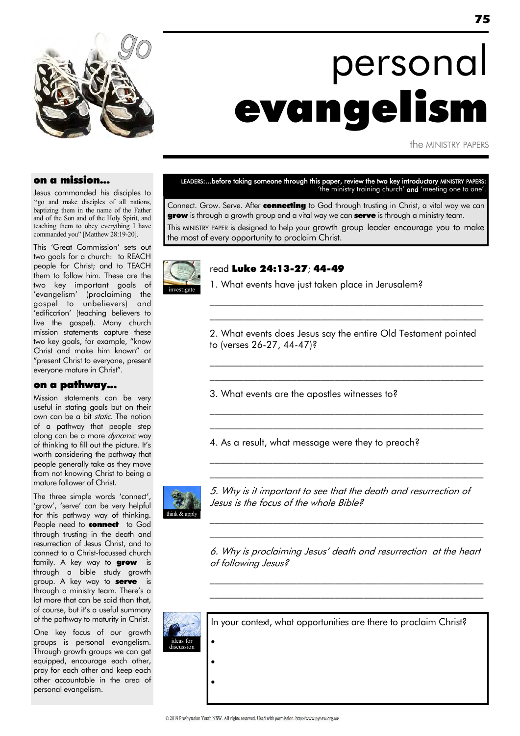

## personal evangelism

the MINISTRY PAPERS

#### on a mission...

Jesus commanded his disciples to "go and make disciples of all nations, baptizing them in the name of the Father and of the Son and of the Holy Spirit, and teaching them to obey everything I have commanded you" [Matthew 28:19-20].

This 'Great Commission' sets out two goals for a church: to REACH people for Christ; and to TEACH them to follow him. These are the two key important goals of 'evangelism' (proclaiming the gospel to unbelievers) and ‗edification' (teaching believers to live the gospel). Many church mission statements capture these two key goals, for example, "know Christ and make him known" or "present Christ to everyone, present everyone mature in Christ".

#### on a pathway...

Mission statements can be very useful in stating goals but on their own can be a bit *static*. The notion of a pathway that people step along can be a more dynamic way of thinking to fill out the picture. It's worth considering the pathway that people generally take as they move from not knowing Christ to being a mature follower of Christ.

The three simple words 'connect', 'grow', 'serve' can be very helpful for this pathway way of thinking. People need to **connect** to God through trusting in the death and resurrection of Jesus Christ, and to connect to a Christ-focussed church family. A key way to **grow** is through a bible study growth group. A key way to **serve** is through a ministry team. There's a lot more that can be said than that, of course, but it's a useful summary of the pathway to maturity in Christ.

One key focus of our growth groups is personal evangelism. Through growth groups we can get equipped, encourage each other, pray for each other and keep each other accountable in the area of personal evangelism.

LEADERS:...before taking someone through this paper, review the two key introductory MINISTRY PAPERS: 'the ministry training church' and 'meeting one to one'.

Connect. Grow. Serve. After connecting to God through trusting in Christ, a vital way we can grow is through a growth group and a vital way we can serve is through a ministry team. This MINISTRY PAPER is designed to help your growth group leader encourage you to make the most of every opportunity to proclaim Christ.



#### read Luke 24:13-27; 44-49

1. What events have just taken place in Jerusalem?

2. What events does Jesus say the entire Old Testament pointed to (verses 26-27, 44-47)?

\_\_\_\_\_\_\_\_\_\_\_\_\_\_\_\_\_\_\_\_\_\_\_\_\_\_\_\_\_\_\_\_\_\_\_\_\_\_\_\_\_\_\_\_\_\_\_\_\_\_\_\_\_\_\_\_\_ \_\_\_\_\_\_\_\_\_\_\_\_\_\_\_\_\_\_\_\_\_\_\_\_\_\_\_\_\_\_\_\_\_\_\_\_\_\_\_\_\_\_\_\_\_\_\_\_\_\_\_\_\_\_\_\_\_

 $\mathcal{L}_\text{max}$  and the contract of the contract of the contract of the contract of the contract of the contract of  $\mathcal{L}_\text{max}$  and the contract of the contract of the contract of the contract of the contract of the contract of

 $\mathcal{L}_\text{max}$  and the contract of the contract of the contract of the contract of the contract of the contract of  $\mathcal{L}_\text{max}$  and the contract of the contract of the contract of the contract of the contract of the contract of

\_\_\_\_\_\_\_\_\_\_\_\_\_\_\_\_\_\_\_\_\_\_\_\_\_\_\_\_\_\_\_\_\_\_\_\_\_\_\_\_\_\_\_\_\_\_\_\_\_\_\_\_\_\_\_\_\_ \_\_\_\_\_\_\_\_\_\_\_\_\_\_\_\_\_\_\_\_\_\_\_\_\_\_\_\_\_\_\_\_\_\_\_\_\_\_\_\_\_\_\_\_\_\_\_\_\_\_\_\_\_\_\_\_\_

3. What events are the apostles witnesses to?

4. As a result, what message were they to preach?



5. Why is it important to see that the death and resurrection of Jesus is the focus of the whole Bible?

 $\mathcal{L}_\text{max}$  and the contract of the contract of the contract of the contract of the contract of the contract of \_\_\_\_\_\_\_\_\_\_\_\_\_\_\_\_\_\_\_\_\_\_\_\_\_\_\_\_\_\_\_\_\_\_\_\_\_\_\_\_\_\_\_\_\_\_\_\_\_\_\_\_\_\_\_\_\_

6. Why is proclaiming Jesus' death and resurrection at the heart of following Jesus?

\_\_\_\_\_\_\_\_\_\_\_\_\_\_\_\_\_\_\_\_\_\_\_\_\_\_\_\_\_\_\_\_\_\_\_\_\_\_\_\_\_\_\_\_\_\_\_\_\_\_\_\_\_\_\_\_\_  $\mathcal{L}_\text{max}$  and the contract of the contract of the contract of the contract of the contract of the contract of



In your context, what opportunities are there to proclaim Christ?  $\bullet$  $\bullet$  $\bullet$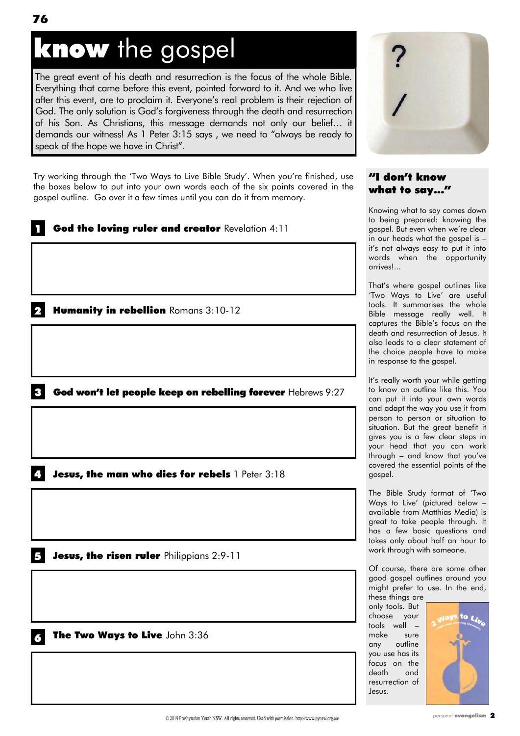### know the gospel

The great event of his death and resurrection is the focus of the whole Bible. Everything that came before this event, pointed forward to it. And we who live after this event, are to proclaim it. Everyone's real problem is their rejection of God. The only solution is God's forgiveness through the death and resurrection of his Son. As Christians, this message demands not only our belief… it demands our witness! As  $1$  Peter  $3:15$  says, we need to "always be ready to speak of the hope we have in Christ".

Try working through the 'Two Ways to Live Bible Study'. When you're finished, use the boxes below to put into your own words each of the six points covered in the gospel outline. Go over it a few times until you can do it from memory.

# God the loving ruler and creator Revelation 4:11 Humanity in rebellion Romans 3:10-12 Jesus, the risen ruler Philippians 2:9-11 Jesus, the man who dies for rebels 1 Peter 3:18  $\mathbf{3}$  God won't let people keep on rebelling forever Hebrews 9:27

The Two Ways to Live John 3:36



#### "I don't know what to say..."

Knowing what to say comes down to being prepared: knowing the gospel. But even when we're clear in our heads what the gospel is – it's not always easy to put it into words when the opportunity arrives!...

That's where gospel outlines like ‗Two Ways to Live' are useful tools. It summarises the whole Bible message really well. It captures the Bible's focus on the death and resurrection of Jesus. It also leads to a clear statement of the choice people have to make in response to the gospel.

It's really worth your while getting to know an outline like this. You can put it into your own words and adapt the way you use it from person to person or situation to situation. But the great benefit it gives you is a few clear steps in your head that you can work through – and know that you've covered the essential points of the gospel.

The Bible Study format of 'Two Ways to Live' (pictured below – available from Matthias Media) is great to take people through. It has a few basic questions and takes only about half an hour to work through with someone.

Of course, there are some other good gospel outlines around you might prefer to use. In the end, these things are

only tools. But choose your tools well – make sure any outline you use has its focus on the death and resurrection of Jesus.

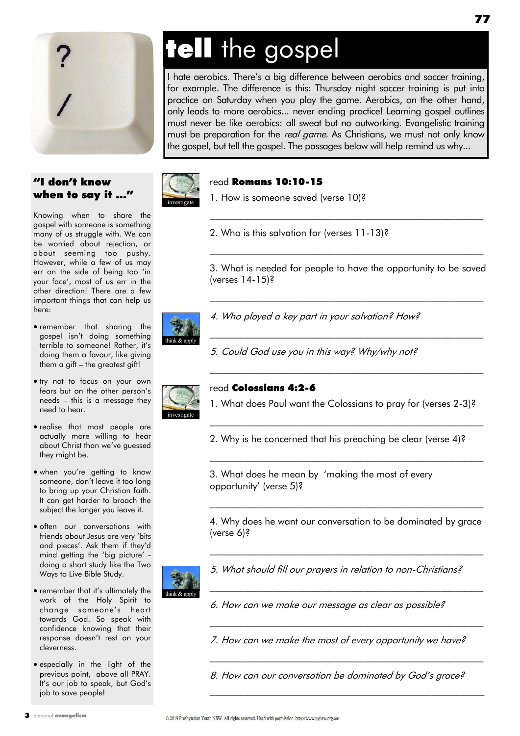

#### "I don't know when to say it ..."

Knowing when to share the gospel with someone is something many of us struggle with. We can be worried about rejection, or about seeming too pushy. However, while a few of us may err on the side of being too 'in your face', most of us err in the other direction! There are a few important things that can help us here:

- remember that sharing the gospel isn't doing something terrible to someone! Rather, it's doing them a favour, like giving them a gift – the greatest gift!
- $\bullet$  try not to focus on your own fears but on the other person's needs – this is a message they need to hear.
- realise that most people are actually more willing to hear about Christ than we've guessed they might be.
- when you're getting to know someone, don't leave it too long to bring up your Christian faith. It can get harder to broach the subject the longer you leave it.
- **•** often our conversations with friends about Jesus are very 'bits and pieces'. Ask them if they'd mind getting the 'big picture' doing a short study like the Two Ways to Live Bible Study.
- remember that it's ultimately the work of the Holy Spirit to change someone's heart towards God. So speak with confidence knowing that their response doesn't rest on your cleverness.
- especially in the light of the previous point, above all PRAY. It's our job to speak, but God's job to save people!

## tell the gospel

I hate aerobics. There's a big difference between aerobics and soccer training, for example. The difference is this: Thursday night soccer training is put into practice on Saturday when you play the game. Aerobics, on the other hand, only leads to more aerobics... never ending practice! Learning gospel outlines must never be like aerobics: all sweat but no outworking. Evangelistic training must be preparation for the *real game*. As Christians, we must not only know the gospel, but tell the gospel. The passages below will help remind us why...



#### read Romans 10:10-15

1. How is someone saved (verse 10)?

2. Who is this salvation for (verses 11-13)?

3. What is needed for people to have the opportunity to be saved (verses 14-15)?

\_\_\_\_\_\_\_\_\_\_\_\_\_\_\_\_\_\_\_\_\_\_\_\_\_\_\_\_\_\_\_\_\_\_\_\_\_\_\_\_\_\_\_\_\_\_\_\_\_\_\_\_\_\_\_\_\_

 $\mathcal{L}_\text{max}$  and the contract of the contract of the contract of the contract of the contract of the contract of

 $\mathcal{L}_\text{max}$  and the contract of the contract of the contract of the contract of the contract of the contract of

\_\_\_\_\_\_\_\_\_\_\_\_\_\_\_\_\_\_\_\_\_\_\_\_\_\_\_\_\_\_\_\_\_\_\_\_\_\_\_\_\_\_\_\_\_\_\_\_\_\_\_\_\_\_\_\_\_

\_\_\_\_\_\_\_\_\_\_\_\_\_\_\_\_\_\_\_\_\_\_\_\_\_\_\_\_\_\_\_\_\_\_\_\_\_\_\_\_\_\_\_\_\_\_\_\_\_\_\_\_\_\_\_\_\_



4. Who played a key part in your salvation? How?

5. Could God use you in this way? Why/why not?



#### read Colossians 4:2-6

1. What does Paul want the Colossians to pray for (verses 2-3)?

 $\mathcal{L}_\text{max}$  and the contract of the contract of the contract of the contract of the contract of the contract of

 $\mathcal{L}_\text{max}$  and the contract of the contract of the contract of the contract of the contract of the contract of

2. Why is he concerned that his preaching be clear (verse 4)?

3. What does he mean by 'making the most of every opportunity' (verse 5)?

4. Why does he want our conversation to be dominated by grace (verse 6)?

 $\mathcal{L}_\text{max}$  and the contract of the contract of the contract of the contract of the contract of the contract of

\_\_\_\_\_\_\_\_\_\_\_\_\_\_\_\_\_\_\_\_\_\_\_\_\_\_\_\_\_\_\_\_\_\_\_\_\_\_\_\_\_\_\_\_\_\_\_\_\_\_\_\_\_\_\_\_\_

 $\mathcal{L}_\text{max}$  and the contract of the contract of the contract of the contract of the contract of the contract of

 $\mathcal{L}_\text{max}$  and the contract of the contract of the contract of the contract of the contract of the contract of

\_\_\_\_\_\_\_\_\_\_\_\_\_\_\_\_\_\_\_\_\_\_\_\_\_\_\_\_\_\_\_\_\_\_\_\_\_\_\_\_\_\_\_\_\_\_\_\_\_\_\_\_\_\_\_\_\_

 $\mathcal{L}_\text{max}$  and the contract of the contract of the contract of the contract of the contract of the contract of



- 5. What should fill our prayers in relation to non-Christians?
- 6. How can we make our message as clear as possible?

7. How can we make the most of every opportunity we have?

8. How can our conversation be dominated by God's grace?